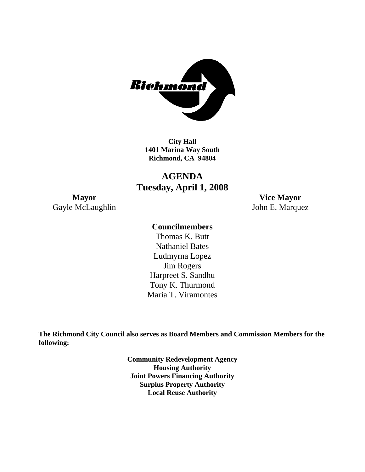

**City Hall 1401 Marina Way South Richmond, CA 94804** 

# **AGENDA Tuesday, April 1, 2008**

**Mayor Vice Mayor**  Gayle McLaughlin John E. Marquez

# **Councilmembers**

Harpreet S. Sandhu Tony K. Thurmond Maria T. Viramontes Thomas K. Butt Nathaniel Bates Ludmyrna Lopez Jim Rogers

**The Richmond City Council also serves as Board Members and Commission Members for the following:** 

> **Community Redevelopment Agency Housing Authority Joint Powers Financing Authority Surplus Property Authority Local Reuse Authority**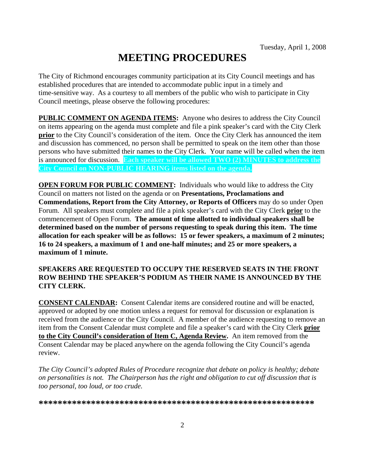# **MEETING PROCEDURES**

The City of Richmond encourages community participation at its City Council meetings and has established procedures that are intended to accommodate public input in a timely and time-sensitive way. As a courtesy to all members of the public who wish to participate in City Council meetings, please observe the following procedures:

**PUBLIC COMMENT ON AGENDA ITEMS:** Anyone who desires to address the City Council on items appearing on the agenda must complete and file a pink speaker's card with the City Clerk **prior** to the City Council's consideration of the item. Once the City Clerk has announced the item and discussion has commenced, no person shall be permitted to speak on the item other than those persons who have submitted their names to the City Clerk. Your name will be called when the item is announced for discussion. **Each speaker will be allowed TWO (2) MINUTES to address the City Council on NON-PUBLIC HEARING items listed on the agenda.** 

**OPEN FORUM FOR PUBLIC COMMENT:** Individuals who would like to address the City Council on matters not listed on the agenda or on **Presentations, Proclamations and Commendations, Report from the City Attorney, or Reports of Officers** may do so under Open Forum. All speakers must complete and file a pink speaker's card with the City Clerk **prior** to the commencement of Open Forum. **The amount of time allotted to individual speakers shall be determined based on the number of persons requesting to speak during this item. The time allocation for each speaker will be as follows: 15 or fewer speakers, a maximum of 2 minutes; 16 to 24 speakers, a maximum of 1 and one-half minutes; and 25 or more speakers, a maximum of 1 minute.** 

#### **SPEAKERS ARE REQUESTED TO OCCUPY THE RESERVED SEATS IN THE FRONT ROW BEHIND THE SPEAKER'S PODIUM AS THEIR NAME IS ANNOUNCED BY THE CITY CLERK.**

**CONSENT CALENDAR:** Consent Calendar items are considered routine and will be enacted, approved or adopted by one motion unless a request for removal for discussion or explanation is received from the audience or the City Council. A member of the audience requesting to remove an item from the Consent Calendar must complete and file a speaker's card with the City Clerk **prior to the City Council's consideration of Item C, Agenda Review.** An item removed from the Consent Calendar may be placed anywhere on the agenda following the City Council's agenda review.

*The City Council's adopted Rules of Procedure recognize that debate on policy is healthy; debate on personalities is not. The Chairperson has the right and obligation to cut off discussion that is too personal, too loud, or too crude.* 

**\*\*\*\*\*\*\*\*\*\*\*\*\*\*\*\*\*\*\*\*\*\*\*\*\*\*\*\*\*\*\*\*\*\*\*\*\*\*\*\*\*\*\*\*\*\*\*\*\*\*\*\*\*\*\*\*\*\***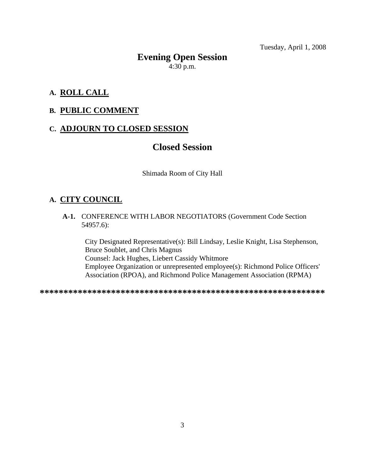# **Evening Open Session**   $4:30$  p.m.

# **A. ROLL CALL**

#### **B. PUBLIC COMMENT**

# **C. ADJOURN TO CLOSED SESSION**

# **Closed Session**

Shimada Room of City Hall

# **A. CITY COUNCIL**

 **A-1.** CONFERENCE WITH LABOR NEGOTIATORS (Government Code Section 54957.6):

City Designated Representative(s): Bill Lindsay, Leslie Knight, Lisa Stephenson, Bruce Soublet, and Chris Magnus Counsel: Jack Hughes, Liebert Cassidy Whitmore Employee Organization or unrepresented employee(s): Richmond Police Officers' Association (RPOA), and Richmond Police Management Association (RPMA)

**\*\*\*\*\*\*\*\*\*\*\*\*\*\*\*\*\*\*\*\*\*\*\*\*\*\*\*\*\*\*\*\*\*\*\*\*\*\*\*\*\*\*\*\*\*\*\*\*\*\*\*\*\*\*\*\*\*\*\*\***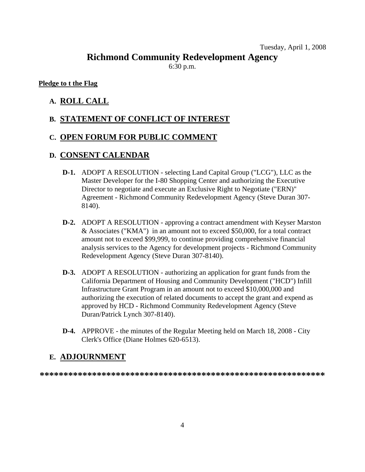# **Richmond Community Redevelopment Agency**

6:30 p.m.

#### **Pledge to t the Flag**

# **A. ROLL CALL**

# **B. STATEMENT OF CONFLICT OF INTEREST**

# **C. OPEN FORUM FOR PUBLIC COMMENT**

# **D. CONSENT CALENDAR**

- **D-1.** ADOPT A RESOLUTION selecting Land Capital Group ("LCG"), LLC as the Master Developer for the I-80 Shopping Center and authorizing the Executive Director to negotiate and execute an Exclusive Right to Negotiate ("ERN)" Agreement - Richmond Community Redevelopment Agency (Steve Duran 307- 8140).
- **D-2.** ADOPT A RESOLUTION approving a contract amendment with Keyser Marston & Associates ("KMA") in an amount not to exceed \$50,000, for a total contract amount not to exceed \$99,999, to continue providing comprehensive financial analysis services to the Agency for development projects - Richmond Community Redevelopment Agency (Steve Duran 307-8140).
- **D-3.** ADOPT A RESOLUTION authorizing an application for grant funds from the California Department of Housing and Community Development ("HCD") Infill Infrastructure Grant Program in an amount not to exceed \$10,000,000 and authorizing the execution of related documents to accept the grant and expend as approved by HCD - Richmond Community Redevelopment Agency (Steve Duran/Patrick Lynch 307-8140).
- **D-4.** APPROVE the minutes of the Regular Meeting held on March 18, 2008 City Clerk's Office (Diane Holmes 620-6513).

# **E. ADJOURNMENT**

**\*\*\*\*\*\*\*\*\*\*\*\*\*\*\*\*\*\*\*\*\*\*\*\*\*\*\*\*\*\*\*\*\*\*\*\*\*\*\*\*\*\*\*\*\*\*\*\*\*\*\*\*\*\*\*\*\*\*\*\***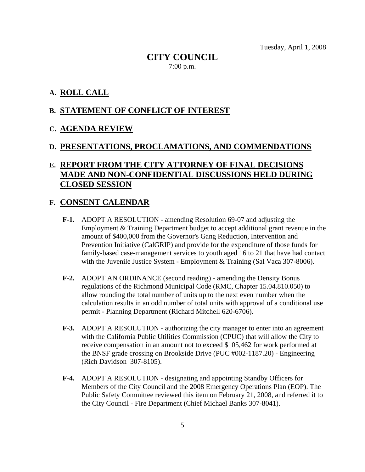# **CITY COUNCIL**  7:00 p.m.

#### **A. ROLL CALL**

#### **B. STATEMENT OF CONFLICT OF INTEREST**

#### **C. AGENDA REVIEW**

#### **D. PRESENTATIONS, PROCLAMATIONS, AND COMMENDATIONS**

# **E. REPORT FROM THE CITY ATTORNEY OF FINAL DECISIONS MADE AND NON-CONFIDENTIAL DISCUSSIONS HELD DURING CLOSED SESSION**

#### **F. CONSENT CALENDAR**

- **F-1.** ADOPT A RESOLUTION amending Resolution 69-07 and adjusting the Employment & Training Department budget to accept additional grant revenue in the amount of \$400,000 from the Governor's Gang Reduction, Intervention and Prevention Initiative (CalGRIP) and provide for the expenditure of those funds for family-based case-management services to youth aged 16 to 21 that have had contact with the Juvenile Justice System - Employment & Training (Sal Vaca 307-8006).
- **F-2.** ADOPT AN ORDINANCE (second reading) amending the Density Bonus regulations of the Richmond Municipal Code (RMC, Chapter 15.04.810.050) to allow rounding the total number of units up to the next even number when the calculation results in an odd number of total units with approval of a conditional use permit - Planning Department (Richard Mitchell 620-6706).
- **F-3.** ADOPT A RESOLUTION authorizing the city manager to enter into an agreement with the California Public Utilities Commission (CPUC) that will allow the City to receive compensation in an amount not to exceed \$105,462 for work performed at the BNSF grade crossing on Brookside Drive (PUC #002-1187.20) - Engineering (Rich Davidson 307-8105).
- **F-4.** ADOPT A RESOLUTION designating and appointing Standby Officers for Members of the City Council and the 2008 Emergency Operations Plan (EOP). The Public Safety Committee reviewed this item on February 21, 2008, and referred it to the City Council - Fire Department (Chief Michael Banks 307-8041).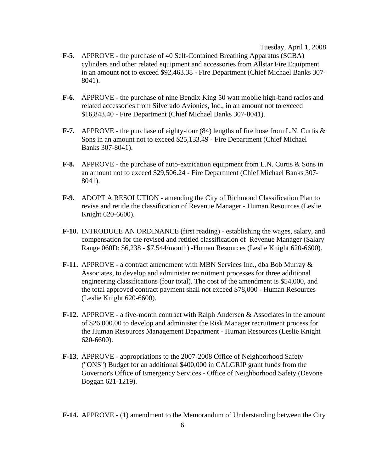- **F-5.** APPROVE the purchase of 40 Self-Contained Breathing Apparatus (SCBA) cylinders and other related equipment and accessories from Allstar Fire Equipment in an amount not to exceed \$92,463.38 - Fire Department (Chief Michael Banks 307- 8041).
- **F-6.** APPROVE the purchase of nine Bendix King 50 watt mobile high-band radios and related accessories from Silverado Avionics, Inc., in an amount not to exceed \$16,843.40 - Fire Department (Chief Michael Banks 307-8041).
- **F-7.** APPROVE the purchase of eighty-four (84) lengths of fire hose from L.N. Curtis & Sons in an amount not to exceed \$25,133.49 - Fire Department (Chief Michael Banks 307-8041).
- **F-8.** APPROVE the purchase of auto-extrication equipment from L.N. Curtis & Sons in an amount not to exceed \$29,506.24 - Fire Department (Chief Michael Banks 307- 8041).
- **F-9.** ADOPT A RESOLUTION amending the City of Richmond Classification Plan to revise and retitle the classification of Revenue Manager - Human Resources (Leslie Knight 620-6600).
- **F-10.** INTRODUCE AN ORDINANCE (first reading) establishing the wages, salary, and compensation for the revised and retitled classification of Revenue Manager (Salary Range 060D: \$6,238 - \$7,544/month) -Human Resources (Leslie Knight 620-6600).
- **F-11.** APPROVE a contract amendment with MBN Services Inc., dba Bob Murray & Associates, to develop and administer recruitment processes for three additional engineering classifications (four total). The cost of the amendment is \$54,000, and the total approved contract payment shall not exceed \$78,000 - Human Resources (Leslie Knight 620-6600).
- **F-12.** APPROVE a five-month contract with Ralph Andersen & Associates in the amount of \$26,000.00 to develop and administer the Risk Manager recruitment process for the Human Resources Management Department - Human Resources (Leslie Knight 620-6600).
- **F-13.** APPROVE appropriations to the 2007-2008 Office of Neighborhood Safety ("ONS") Budget for an additional \$400,000 in CALGRIP grant funds from the Governor's Office of Emergency Services - Office of Neighborhood Safety (Devone Boggan 621-1219).
- **F-14.** APPROVE (1) amendment to the Memorandum of Understanding between the City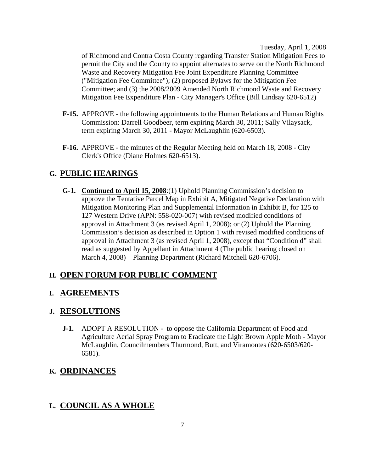of Richmond and Contra Costa County regarding Transfer Station Mitigation Fees to permit the City and the County to appoint alternates to serve on the North Richmond Waste and Recovery Mitigation Fee Joint Expenditure Planning Committee ("Mitigation Fee Committee"); (2) proposed Bylaws for the Mitigation Fee Committee; and (3) the 2008/2009 Amended North Richmond Waste and Recovery Mitigation Fee Expenditure Plan - City Manager's Office (Bill Lindsay 620-6512)

- **F-15.** APPROVE the following appointments to the Human Relations and Human Rights Commission: Darrell Goodbeer, term expiring March 30, 2011; Sally Vilaysack, term expiring March 30, 2011 - Mayor McLaughlin (620-6503).
- **F-16.** APPROVE the minutes of the Regular Meeting held on March 18, 2008 City Clerk's Office (Diane Holmes 620-6513).

# **G. PUBLIC HEARINGS**

 **G-1. Continued to April 15, 2008**:(1) Uphold Planning Commission's decision to approve the Tentative Parcel Map in Exhibit A, Mitigated Negative Declaration with Mitigation Monitoring Plan and Supplemental Information in Exhibit B, for 125 to 127 Western Drive (APN: 558-020-007) with revised modified conditions of approval in Attachment 3 (as revised April 1, 2008); or (2) Uphold the Planning Commission's decision as described in Option 1 with revised modified conditions of approval in Attachment 3 (as revised April 1, 2008), except that "Condition d" shall read as suggested by Appellant in Attachment 4 (The public hearing closed on March 4, 2008) – Planning Department (Richard Mitchell 620-6706).

# **H. OPEN FORUM FOR PUBLIC COMMENT**

# **I. AGREEMENTS**

# **J. RESOLUTIONS**

**J-1.** ADOPT A RESOLUTION - to oppose the California Department of Food and Agriculture Aerial Spray Program to Eradicate the Light Brown Apple Moth - Mayor McLaughlin, Councilmembers Thurmond, Butt, and Viramontes (620-6503/620- 6581).

# **K. ORDINANCES**

# **L. COUNCIL AS A WHOLE**